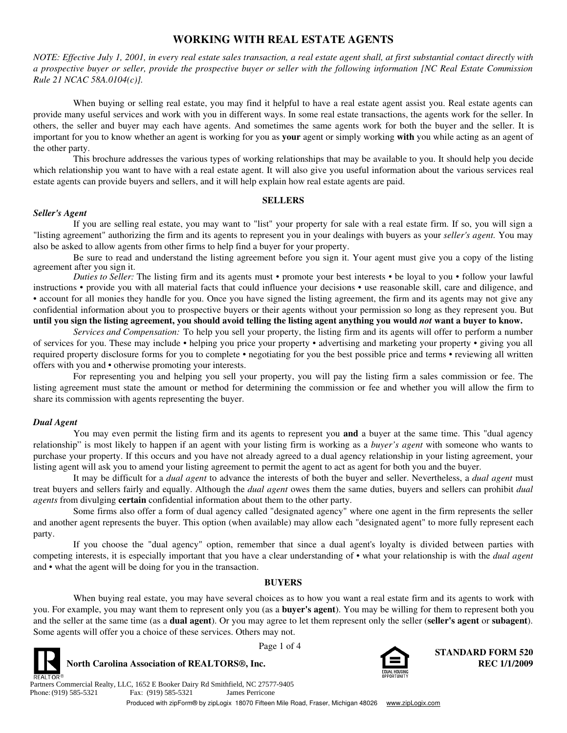# **WORKING WITH REAL ESTATE AGENTS**

*NOTE: Effective July 1, 2001, in every real estate sales transaction, a real estate agent shall, at first substantial contact directly with a prospective buyer or seller, provide the prospective buyer or seller with the following information [NC Real Estate Commission Rule 21 NCAC 58A.0104(c)].*

provide many useful services and work with you in different ways. In some real estate transactions, the agents work for the seller. In others, the seller and buyer may each have agents. And sometimes the same agents work for both the buyer and the seller. It is important for you to know whether an agent is working for you as **your** agent or simply working **with** you while acting as an agent of the other party. When buying or selling real estate, you may find it helpful to have a real estate agent assist you. Real estate agents can

This brochure addresses the various types of working relationships that may be available to you. It should help you decide which relationship you want to have with a real estate agent. It will also give you useful information about the various services real estate agents can provide buyers and sellers, and it will help explain how real estate agents are paid.

#### **SELLERS**

### *Seller's Agent*

If you are selling real estate, you may want to "list" your property for sale with a real estate firm. If so, you will sign a "listing agreement" authorizing the firm and its agents to represent you in your dealings with buyers as your *seller's agent.* You may also be asked to allow agents from other firms to help find a buyer for your property.

Be sure to read and understand the listing agreement before you sign it. Your agent must give you a copy of the listing agreement after you sign it.

*Duties to Seller:* The listing firm and its agents must • promote your best interests • be loyal to you • follow your lawful instructions • provide you with all material facts that could influence your decisions • use reasonable skill, care and diligence, and • account for all monies they handle for you. Once you have signed the listing agreement, the firm and its agents may not give any confidential information about you to prospective buyers or their agents without your permission so long as they represent you. But **until you sign the listing agreement, you should avoid telling the listing agent anything you would** *not* **want a buyer to know.**

*Services and Compensation:* To help you sell your property, the listing firm and its agents will offer to perform a number of services for you. These may include • helping you price your property • advertising and marketing your property • giving you all required property disclosure forms for you to complete • negotiating for you the best possible price and terms • reviewing all written offers with you and • otherwise promoting your interests.

For representing you and helping you sell your property, you will pay the listing firm a sales commission or fee. The listing agreement must state the amount or method for determining the commission or fee and whether you will allow the firm to share its commission with agents representing the buyer.

## *Dual Agent*

You may even permit the listing firm and its agents to represent you **and** a buyer at the same time. This "dual agency relationship" is most likely to happen if an agent with your listing firm is working as a *buyer's agent* with someone who wants to purchase your property. If this occurs and you have not already agreed to a dual agency relationship in your listing agreement, your listing agent will ask you to amend your listing agreement to permit the agent to act as agent for both you and the buyer.

It may be difficult for a *dual agent* to advance the interests of both the buyer and seller. Nevertheless, a *dual agent* must treat buyers and sellers fairly and equally. Although the *dual agent* owes them the same duties, buyers and sellers can prohibit *dual agents* from divulging **certain** confidential information about them to the other party.

Some firms also offer a form of dual agency called "designated agency" where one agent in the firm represents the seller and another agent represents the buyer. This option (when available) may allow each "designated agent" to more fully represent each party.

If you choose the "dual agency" option, remember that since a dual agent's loyalty is divided between parties with competing interests, it is especially important that you have a clear understanding of • what your relationship is with the *dual agent* and • what the agent will be doing for you in the transaction.

## **BUYERS**

When buying real estate, you may have several choices as to how you want a real estate firm and its agents to work with you. For example, you may want them to represent only you (as a **buyer's agent**). You may be willing for them to represent both you and the seller at the same time (as a **dual agent**). Or you may agree to let them represent only the seller (**seller's agent** or **subagent**). Some agents will offer you a choice of these services. Others may not.





Page 1 of 4 **STANDARD FORM 520 North Carolina Association of REALTORS®, Inc. REC 1/1/2009 REC 1/1/2009** 

Phone: (919) 585-5321 Partners Commercial Realty, LLC, 1652 E Booker Dairy Rd Smithfield, NC 27577-9405 Fax: (919) 585-5321 James Perricone

Produced with zipForm® by zipLogix 18070 Fifteen Mile Road, Fraser, Michigan 48026 www.zipLogix.com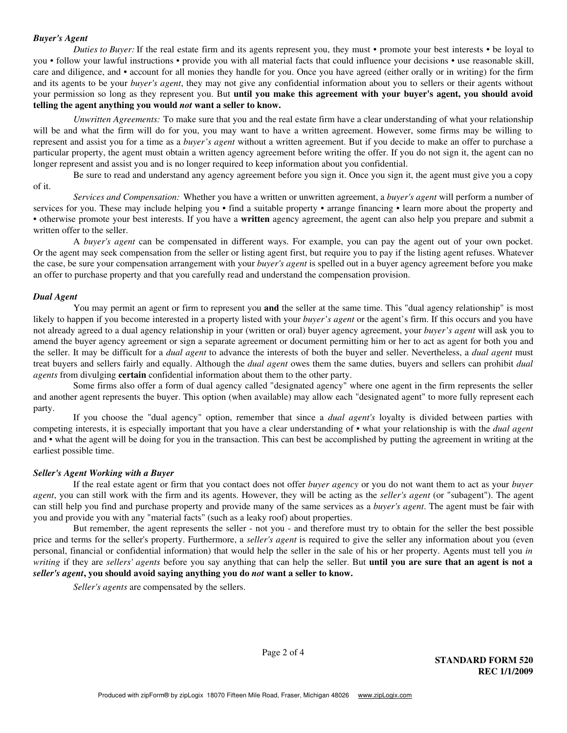#### *Buyer's Agent*

Duties to Buyer: If the real estate firm and its agents represent you, they must • promote your best interests • be loyal to you • follow your lawful instructions • provide you with all material facts that could influence your decisions • use reasonable skill, care and diligence, and • account for all monies they handle for you. Once you have agreed (either orally or in writing) for the firm and its agents to be your *buyer's agent*, they may not give any confidential information about you to sellers or their agents without your permission so long as they represent you. But **until you make this agreement with your buyer's agent, you should avoid telling the agent anything you would** *not* **want a seller to know.**

*Unwritten Agreements:* To make sure that you and the real estate firm have a clear understanding of what your relationship will be and what the firm will do for you, you may want to have a written agreement. However, some firms may be willing to represent and assist you for a time as a *buyer's agent* without a written agreement. But if you decide to make an offer to purchase a particular property, the agent must obtain a written agency agreement before writing the offer. If you do not sign it, the agent can no longer represent and assist you and is no longer required to keep information about you confidential.

Be sure to read and understand any agency agreement before you sign it. Once you sign it, the agent must give you a copy of it.

*Services and Compensation:* Whether you have a written or unwritten agreement, a *buyer's agent* will perform a number of services for you. These may include helping you • find a suitable property • arrange financing • learn more about the property and • otherwise promote your best interests. If you have a **written** agency agreement, the agent can also help you prepare and submit a written offer to the seller.

A *buyer's agent* can be compensated in different ways. For example, you can pay the agent out of your own pocket. Or the agent may seek compensation from the seller or listing agent first, but require you to pay if the listing agent refuses. Whatever the case, be sure your compensation arrangement with your *buyer's agent* is spelled out in a buyer agency agreement before you make an offer to purchase property and that you carefully read and understand the compensation provision.

#### *Dual Agent*

You may permit an agent or firm to represent you **and** the seller at the same time. This "dual agency relationship" is most likely to happen if you become interested in a property listed with your *buyer's agent* or the agent's firm. If this occurs and you have not already agreed to a dual agency relationship in your (written or oral) buyer agency agreement, your *buyer's agent* will ask you to amend the buyer agency agreement or sign a separate agreement or document permitting him or her to act as agent for both you and the seller. It may be difficult for a *dual agent* to advance the interests of both the buyer and seller. Nevertheless, a *dual agent* must treat buyers and sellers fairly and equally. Although the *dual agent* owes them the same duties, buyers and sellers can prohibit *dual agents* from divulging **certain** confidential information about them to the other party.

Some firms also offer a form of dual agency called "designated agency" where one agent in the firm represents the seller and another agent represents the buyer. This option (when available) may allow each "designated agent" to more fully represent each party.

If you choose the "dual agency" option, remember that since a *dual agent's* loyalty is divided between parties with competing interests, it is especially important that you have a clear understanding of • what your relationship is with the *dual agent* and • what the agent will be doing for you in the transaction. This can best be accomplished by putting the agreement in writing at the earliest possible time.

#### *Seller's Agent Working with a Buyer*

If the real estate agent or firm that you contact does not offer *buyer agency* or you do not want them to act as your *buyer agent*, you can still work with the firm and its agents. However, they will be acting as the *seller's agent* (or "subagent"). The agent can still help you find and purchase property and provide many of the same services as a *buyer's agent*. The agent must be fair with you and provide you with any "material facts" (such as a leaky roof) about properties.

But remember, the agent represents the seller - not you - and therefore must try to obtain for the seller the best possible price and terms for the seller's property. Furthermore, a *seller's agent* is required to give the seller any information about you (even personal, financial or confidential information) that would help the seller in the sale of his or her property. Agents must tell you *in writing* if they are *sellers' agents* before you say anything that can help the seller. But **until you are sure that an agent is not a** *seller's agent***, you should avoid saying anything you do** *not* **want a seller to know.**

*Seller's agents* are compensated by the sellers.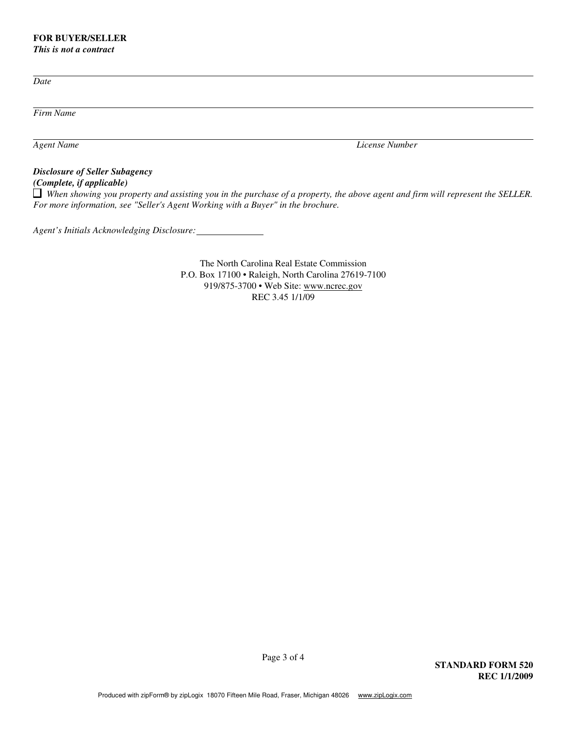## **FOR BUYER/SELLER**

*This is not a contract*

*Date*

*Firm Name*

*Agent Name License Number*

# *Disclosure of Seller Subagency (Complete, if applicable)*

*When showing you property and assisting you in the purchase of a property, the above agent and firm will represent the SELLER. For more information, see "Seller's Agent Working with a Buyer" in the brochure.*

*Agent's Initials Acknowledging Disclosure:*

The North Carolina Real Estate Commission P.O. Box 17100 • Raleigh, North Carolina 27619-7100 919/875-3700 • Web Site: www.ncrec.gov REC 3.45 1/1/09